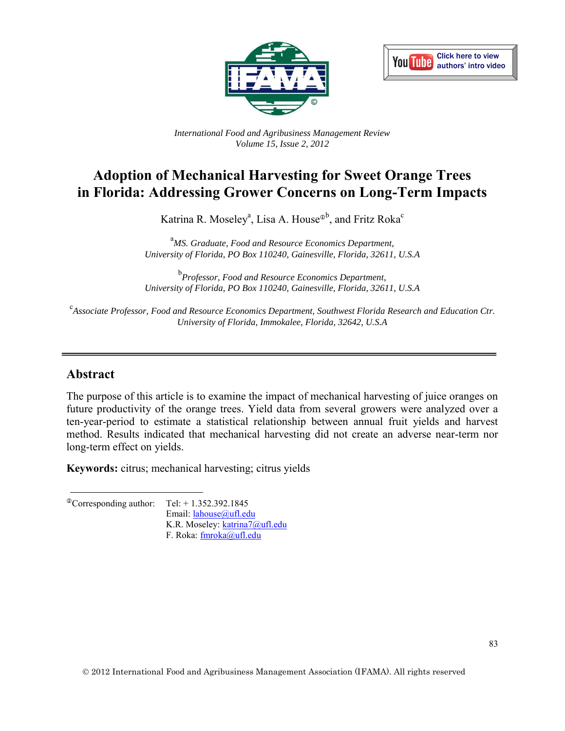



*International Food and Agribusiness Management Review Volume 15, Issue 2, 2012*

# **Adoption of Mechanical Harvesting for Sweet Orange Trees in Florida: Addressing Grower Concerns on Long-Term Impacts**

Katrina R. Moseley<sup>a</sup>, Lisa A. House<sup>®b</sup>, and Fritz Roka<sup>c</sup>

<sup>a</sup>*MS. Graduate, Food and Resource Economics Department, University of Florida, PO Box 110240, Gainesville, Florida, 32611, U.S.A* 

b *Professor, Food and Resource Economics Department, University of Florida, PO Box 110240, Gainesville, Florida, 32611, U.S.A* 

c *Associate Professor, Food and Resource Economics Department, Southwest Florida Research and Education Ctr. University of Florida, Immokalee, Florida, 32642, U.S.A* 

#### **Abstract**

The purpose of this article is to examine the impact of mechanical harvesting of juice oranges on future productivity of the orange trees. Yield data from several growers were analyzed over a ten-year-period to estimate a statistical relationship between annual fruit yields and harvest method. Results indicated that mechanical harvesting did not create an adverse near-term nor long-term effect on yields.

**Keywords:** citrus; mechanical harvesting; citrus yields

 $^{\circ}$ Corresponding author: Tel: + 1.352.392.1845

Email: [lahouse@ufl.edu](mailto:lahouse@ufl.edu)  K.R. Moseley: [katrina7@ufl.edu](mailto:katrina7@ufl.edu)  F. Roka: [fmroka@ufl.edu](mailto:fmroka@ufl.edu)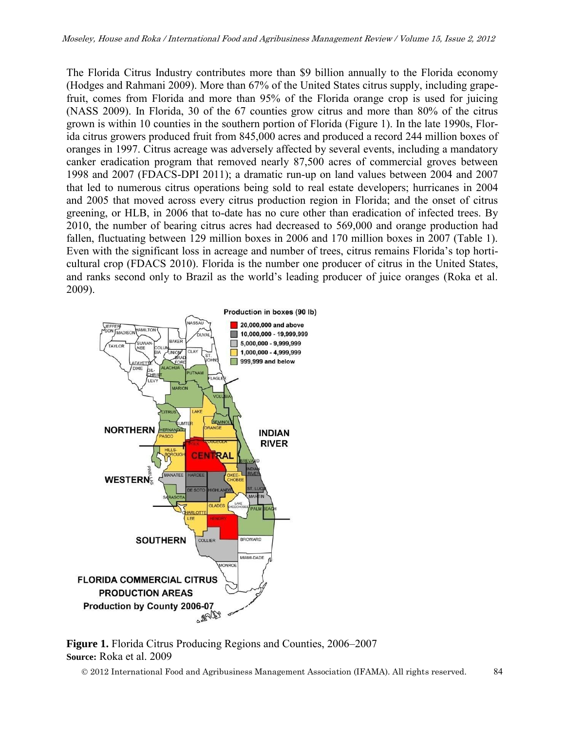The Florida Citrus Industry contributes more than \$9 billion annually to the Florida economy (Hodges and Rahmani 2009). More than 67% of the United States citrus supply, including grapefruit, comes from Florida and more than 95% of the Florida orange crop is used for juicing (NASS 2009). In Florida, 30 of the 67 counties grow citrus and more than 80% of the citrus grown is within 10 counties in the southern portion of Florida (Figure 1). In the late 1990s, Florida citrus growers produced fruit from 845,000 acres and produced a record 244 million boxes of oranges in 1997. Citrus acreage was adversely affected by several events, including a mandatory canker eradication program that removed nearly 87,500 acres of commercial groves between 1998 and 2007 (FDACS-DPI 2011); a dramatic run-up on land values between 2004 and 2007 that led to numerous citrus operations being sold to real estate developers; hurricanes in 2004 and 2005 that moved across every citrus production region in Florida; and the onset of citrus greening, or HLB, in 2006 that to-date has no cure other than eradication of infected trees. By 2010, the number of bearing citrus acres had decreased to 569,000 and orange production had fallen, fluctuating between 129 million boxes in 2006 and 170 million boxes in 2007 (Table 1). Even with the significant loss in acreage and number of trees, citrus remains Florida's top horticultural crop (FDACS 2010). Florida is the number one producer of citrus in the United States, and ranks second only to Brazil as the world's leading producer of juice oranges (Roka et al. 2009).



**Figure 1.** Florida Citrus Producing Regions and Counties, 2006–2007 **Source:** Roka et al. 2009

2012 International Food and Agribusiness Management Association (IFAMA). All rights reserved. 84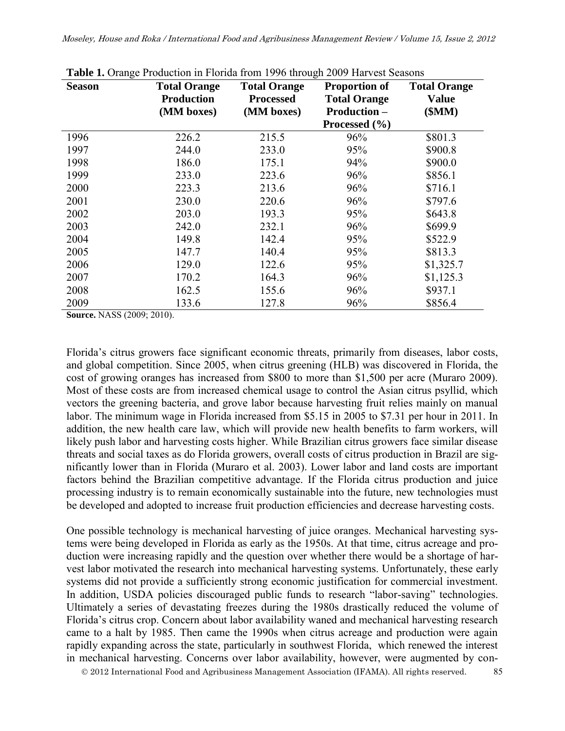| <b>Season</b> | <b>Total Orange</b><br><b>Production</b><br>(MM boxes) | <b>Total Orange</b><br><b>Processed</b><br>(MM boxes) | <b>Proportion of</b><br><b>Total Orange</b><br><b>Production -</b> | <b>Total Orange</b><br><b>Value</b><br>\$MM) |
|---------------|--------------------------------------------------------|-------------------------------------------------------|--------------------------------------------------------------------|----------------------------------------------|
|               |                                                        |                                                       | Processed $(\% )$                                                  |                                              |
| 1996          | 226.2                                                  | 215.5                                                 | 96%                                                                | \$801.3                                      |
| 1997          | 244.0                                                  | 233.0                                                 | 95%                                                                | \$900.8                                      |
| 1998          | 186.0                                                  | 175.1                                                 | 94%                                                                | \$900.0                                      |
| 1999          | 233.0                                                  | 223.6                                                 | 96%                                                                | \$856.1                                      |
| 2000          | 223.3                                                  | 213.6                                                 | 96%                                                                | \$716.1                                      |
| 2001          | 230.0                                                  | 220.6                                                 | 96%                                                                | \$797.6                                      |
| 2002          | 203.0                                                  | 193.3                                                 | 95%                                                                | \$643.8                                      |
| 2003          | 242.0                                                  | 232.1                                                 | 96%                                                                | \$699.9                                      |
| 2004          | 149.8                                                  | 142.4                                                 | 95%                                                                | \$522.9                                      |
| 2005          | 147.7                                                  | 140.4                                                 | 95%                                                                | \$813.3                                      |
| 2006          | 129.0                                                  | 122.6                                                 | 95%                                                                | \$1,325.7                                    |
| 2007          | 170.2                                                  | 164.3                                                 | 96%                                                                | \$1,125.3                                    |
| 2008          | 162.5                                                  | 155.6                                                 | 96%                                                                | \$937.1                                      |
| 2009          | 133.6                                                  | 127.8                                                 | 96%                                                                | \$856.4                                      |

**Table 1.** Orange Production in Florida from 1996 through 2009 Harvest Seasons

**Source.** NASS (2009; 2010).

Florida's citrus growers face significant economic threats, primarily from diseases, labor costs, and global competition. Since 2005, when citrus greening (HLB) was discovered in Florida, the cost of growing oranges has increased from \$800 to more than \$1,500 per acre (Muraro 2009). Most of these costs are from increased chemical usage to control the Asian citrus psyllid, which vectors the greening bacteria, and grove labor because harvesting fruit relies mainly on manual labor. The minimum wage in Florida increased from \$5.15 in 2005 to \$7.31 per hour in 2011. In addition, the new health care law, which will provide new health benefits to farm workers, will likely push labor and harvesting costs higher. While Brazilian citrus growers face similar disease threats and social taxes as do Florida growers, overall costs of citrus production in Brazil are significantly lower than in Florida (Muraro et al. 2003). Lower labor and land costs are important factors behind the Brazilian competitive advantage. If the Florida citrus production and juice processing industry is to remain economically sustainable into the future, new technologies must be developed and adopted to increase fruit production efficiencies and decrease harvesting costs.

One possible technology is mechanical harvesting of juice oranges. Mechanical harvesting systems were being developed in Florida as early as the 1950s. At that time, citrus acreage and production were increasing rapidly and the question over whether there would be a shortage of harvest labor motivated the research into mechanical harvesting systems. Unfortunately, these early systems did not provide a sufficiently strong economic justification for commercial investment. In addition, USDA policies discouraged public funds to research "labor-saving" technologies. Ultimately a series of devastating freezes during the 1980s drastically reduced the volume of Florida's citrus crop. Concern about labor availability waned and mechanical harvesting research came to a halt by 1985. Then came the 1990s when citrus acreage and production were again rapidly expanding across the state, particularly in southwest Florida, which renewed the interest in mechanical harvesting. Concerns over labor availability, however, were augmented by con-

2012 International Food and Agribusiness Management Association (IFAMA). All rights reserved. 85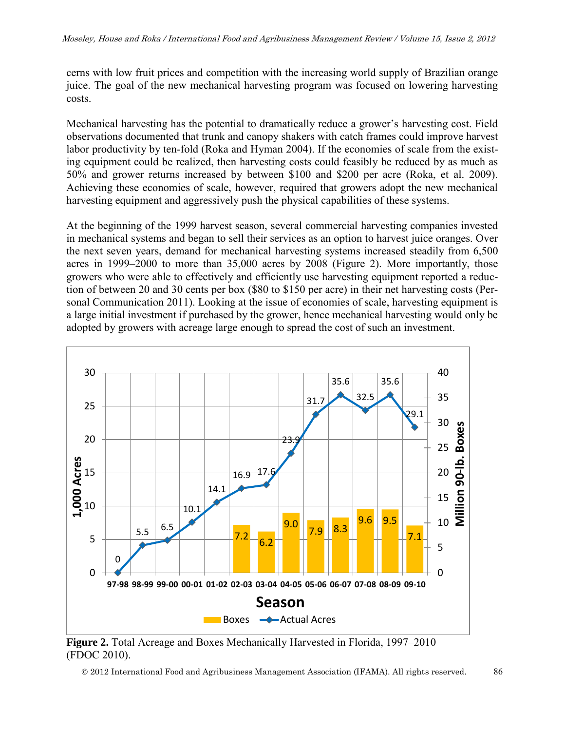cerns with low fruit prices and competition with the increasing world supply of Brazilian orange juice. The goal of the new mechanical harvesting program was focused on lowering harvesting costs.

Mechanical harvesting has the potential to dramatically reduce a grower's harvesting cost. Field observations documented that trunk and canopy shakers with catch frames could improve harvest labor productivity by ten-fold (Roka and Hyman 2004). If the economies of scale from the existing equipment could be realized, then harvesting costs could feasibly be reduced by as much as 50% and grower returns increased by between \$100 and \$200 per acre (Roka, et al. 2009). Achieving these economies of scale, however, required that growers adopt the new mechanical harvesting equipment and aggressively push the physical capabilities of these systems.

At the beginning of the 1999 harvest season, several commercial harvesting companies invested in mechanical systems and began to sell their services as an option to harvest juice oranges. Over the next seven years, demand for mechanical harvesting systems increased steadily from 6,500 acres in 1999–2000 to more than 35,000 acres by 2008 (Figure 2). More importantly, those growers who were able to effectively and efficiently use harvesting equipment reported a reduction of between 20 and 30 cents per box (\$80 to \$150 per acre) in their net harvesting costs (Personal Communication 2011). Looking at the issue of economies of scale, harvesting equipment is a large initial investment if purchased by the grower, hence mechanical harvesting would only be adopted by growers with acreage large enough to spread the cost of such an investment.



**Figure 2.** Total Acreage and Boxes Mechanically Harvested in Florida, 1997–2010 (FDOC 2010).

2012 International Food and Agribusiness Management Association (IFAMA). All rights reserved. 86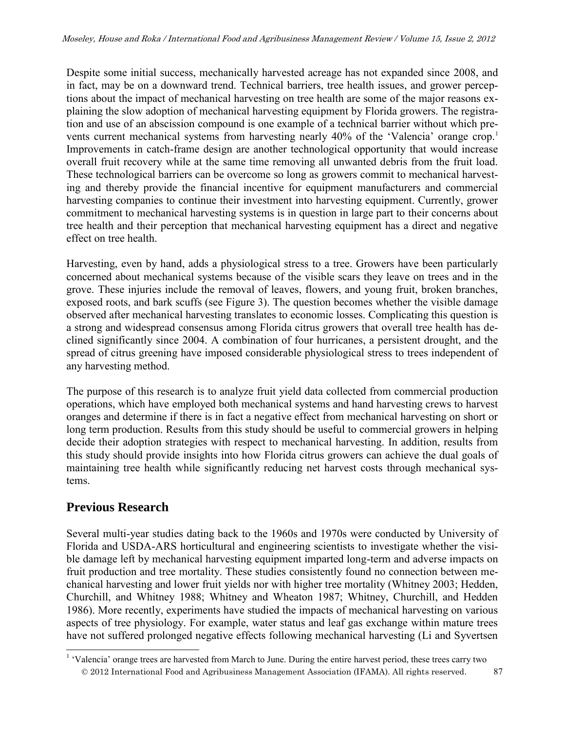Despite some initial success, mechanically harvested acreage has not expanded since 2008, and in fact, may be on a downward trend. Technical barriers, tree health issues, and grower perceptions about the impact of mechanical harvesting on tree health are some of the major reasons explaining the slow adoption of mechanical harvesting equipment by Florida growers. The registration and use of an abscission compound is one example of a technical barrier without which prevents current mechanical systems from harvesting nearly 40% of the 'Valencia' orange crop.<sup>1</sup> Improvements in catch-frame design are another technological opportunity that would increase overall fruit recovery while at the same time removing all unwanted debris from the fruit load. These technological barriers can be overcome so long as growers commit to mechanical harvesting and thereby provide the financial incentive for equipment manufacturers and commercial harvesting companies to continue their investment into harvesting equipment. Currently, grower commitment to mechanical harvesting systems is in question in large part to their concerns about tree health and their perception that mechanical harvesting equipment has a direct and negative effect on tree health.

Harvesting, even by hand, adds a physiological stress to a tree. Growers have been particularly concerned about mechanical systems because of the visible scars they leave on trees and in the grove. These injuries include the removal of leaves, flowers, and young fruit, broken branches, exposed roots, and bark scuffs (see Figure 3). The question becomes whether the visible damage observed after mechanical harvesting translates to economic losses. Complicating this question is a strong and widespread consensus among Florida citrus growers that overall tree health has declined significantly since 2004. A combination of four hurricanes, a persistent drought, and the spread of citrus greening have imposed considerable physiological stress to trees independent of any harvesting method.

The purpose of this research is to analyze fruit yield data collected from commercial production operations, which have employed both mechanical systems and hand harvesting crews to harvest oranges and determine if there is in fact a negative effect from mechanical harvesting on short or long term production. Results from this study should be useful to commercial growers in helping decide their adoption strategies with respect to mechanical harvesting. In addition, results from this study should provide insights into how Florida citrus growers can achieve the dual goals of maintaining tree health while significantly reducing net harvest costs through mechanical systems.

# **Previous Research**

 $\overline{a}$ 

Several multi-year studies dating back to the 1960s and 1970s were conducted by University of Florida and USDA-ARS horticultural and engineering scientists to investigate whether the visible damage left by mechanical harvesting equipment imparted long-term and adverse impacts on fruit production and tree mortality. These studies consistently found no connection between mechanical harvesting and lower fruit yields nor with higher tree mortality (Whitney 2003; Hedden, Churchill, and Whitney 1988; Whitney and Wheaton 1987; Whitney, Churchill, and Hedden 1986). More recently, experiments have studied the impacts of mechanical harvesting on various aspects of tree physiology. For example, water status and leaf gas exchange within mature trees have not suffered prolonged negative effects following mechanical harvesting (Li and Syvertsen

2012 International Food and Agribusiness Management Association (IFAMA). All rights reserved. 87 <sup>1</sup> 'Valencia' orange trees are harvested from March to June. During the entire harvest period, these trees carry two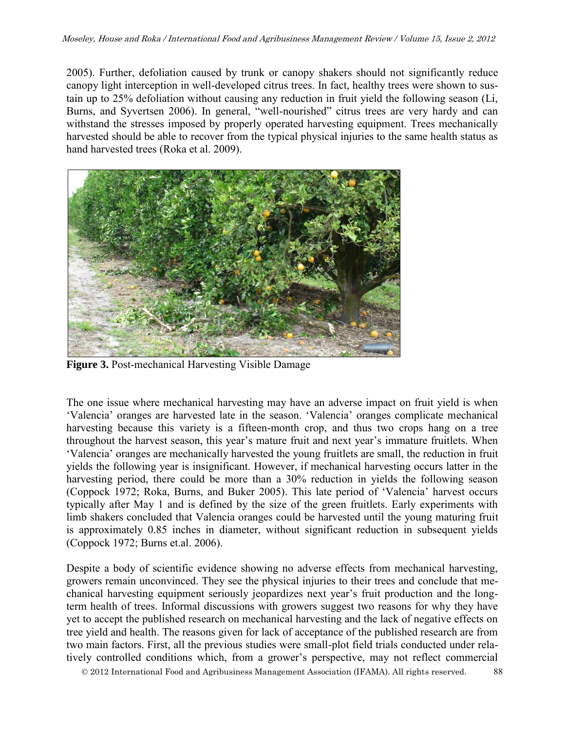2005). Further, defoliation caused by trunk or canopy shakers should not significantly reduce canopy light interception in well-developed citrus trees. In fact, healthy trees were shown to sustain up to 25% defoliation without causing any reduction in fruit yield the following season (Li, Burns, and Syvertsen 2006). In general, "well-nourished" citrus trees are very hardy and can withstand the stresses imposed by properly operated harvesting equipment. Trees mechanically harvested should be able to recover from the typical physical injuries to the same health status as hand harvested trees (Roka et al. 2009).



**Figure 3.** Post-mechanical Harvesting Visible Damage

The one issue where mechanical harvesting may have an adverse impact on fruit yield is when 'Valencia' oranges are harvested late in the season. 'Valencia' oranges complicate mechanical harvesting because this variety is a fifteen-month crop, and thus two crops hang on a tree throughout the harvest season, this year's mature fruit and next year's immature fruitlets. When 'Valencia' oranges are mechanically harvested the young fruitlets are small, the reduction in fruit yields the following year is insignificant. However, if mechanical harvesting occurs latter in the harvesting period, there could be more than a 30% reduction in yields the following season (Coppock 1972; Roka, Burns, and Buker 2005). This late period of 'Valencia' harvest occurs typically after May 1 and is defined by the size of the green fruitlets. Early experiments with limb shakers concluded that Valencia oranges could be harvested until the young maturing fruit is approximately 0.85 inches in diameter, without significant reduction in subsequent yields (Coppock 1972; Burns et.al. 2006).

Despite a body of scientific evidence showing no adverse effects from mechanical harvesting, growers remain unconvinced. They see the physical injuries to their trees and conclude that mechanical harvesting equipment seriously jeopardizes next year's fruit production and the longterm health of trees. Informal discussions with growers suggest two reasons for why they have yet to accept the published research on mechanical harvesting and the lack of negative effects on tree yield and health. The reasons given for lack of acceptance of the published research are from two main factors. First, all the previous studies were small-plot field trials conducted under relatively controlled conditions which, from a grower's perspective, may not reflect commercial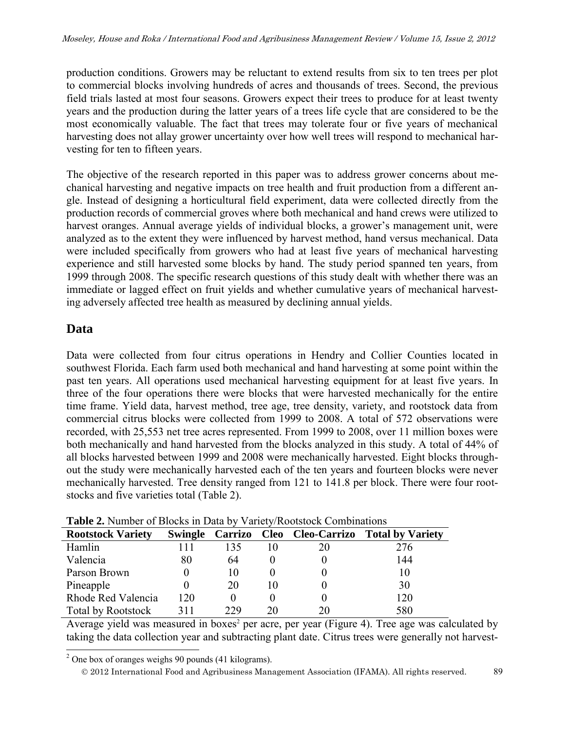production conditions. Growers may be reluctant to extend results from six to ten trees per plot to commercial blocks involving hundreds of acres and thousands of trees. Second, the previous field trials lasted at most four seasons. Growers expect their trees to produce for at least twenty years and the production during the latter years of a trees life cycle that are considered to be the most economically valuable. The fact that trees may tolerate four or five years of mechanical harvesting does not allay grower uncertainty over how well trees will respond to mechanical harvesting for ten to fifteen years.

The objective of the research reported in this paper was to address grower concerns about mechanical harvesting and negative impacts on tree health and fruit production from a different angle. Instead of designing a horticultural field experiment, data were collected directly from the production records of commercial groves where both mechanical and hand crews were utilized to harvest oranges. Annual average yields of individual blocks, a grower's management unit, were analyzed as to the extent they were influenced by harvest method, hand versus mechanical. Data were included specifically from growers who had at least five years of mechanical harvesting experience and still harvested some blocks by hand. The study period spanned ten years, from 1999 through 2008. The specific research questions of this study dealt with whether there was an immediate or lagged effect on fruit yields and whether cumulative years of mechanical harvesting adversely affected tree health as measured by declining annual yields.

#### **Data**

Data were collected from four citrus operations in Hendry and Collier Counties located in southwest Florida. Each farm used both mechanical and hand harvesting at some point within the past ten years. All operations used mechanical harvesting equipment for at least five years. In three of the four operations there were blocks that were harvested mechanically for the entire time frame. Yield data, harvest method, tree age, tree density, variety, and rootstock data from commercial citrus blocks were collected from 1999 to 2008. A total of 572 observations were recorded, with 25,553 net tree acres represented. From 1999 to 2008, over 11 million boxes were both mechanically and hand harvested from the blocks analyzed in this study. A total of 44% of all blocks harvested between 1999 and 2008 were mechanically harvested. Eight blocks throughout the study were mechanically harvested each of the ten years and fourteen blocks were never mechanically harvested. Tree density ranged from 121 to 141.8 per block. There were four rootstocks and five varieties total (Table 2).

| $\sim$ while $\sim$ . There is the set of $\sim$ is the set of $\sim$ is the set of $\sim$ is the set of $\sim$ is the set of $\sim$ |                |     |    |                           |                         |  |  |
|--------------------------------------------------------------------------------------------------------------------------------------|----------------|-----|----|---------------------------|-------------------------|--|--|
| <b>Rootstock Variety</b>                                                                                                             | <b>Swingle</b> |     |    | Carrizo Cleo Cleo-Carrizo | <b>Total by Variety</b> |  |  |
| Hamlin                                                                                                                               |                | 135 |    | 20                        | 276                     |  |  |
| Valencia                                                                                                                             | 80             | 64  |    |                           | 144                     |  |  |
| Parson Brown                                                                                                                         |                | 10  |    |                           | 10                      |  |  |
| Pineapple                                                                                                                            |                | 20  | 10 |                           | 30                      |  |  |
| Rhode Red Valencia                                                                                                                   | l 20           |     |    |                           | 120                     |  |  |
| <b>Total by Rootstock</b>                                                                                                            | 311            | 229 | 20 | 20                        | 580                     |  |  |

**Table 2.** Number of Blocks in Data by Variety/Rootstock Combinations

Average yield was measured in boxes<sup>2</sup> per acre, per year (Figure 4). Tree age was calculated by taking the data collection year and subtracting plant date. Citrus trees were generally not harvest-

<sup>&</sup>lt;sup>2</sup> One box of oranges weighs 90 pounds (41 kilograms).

2012 International Food and Agribusiness Management Association (IFAMA). All rights reserved. 89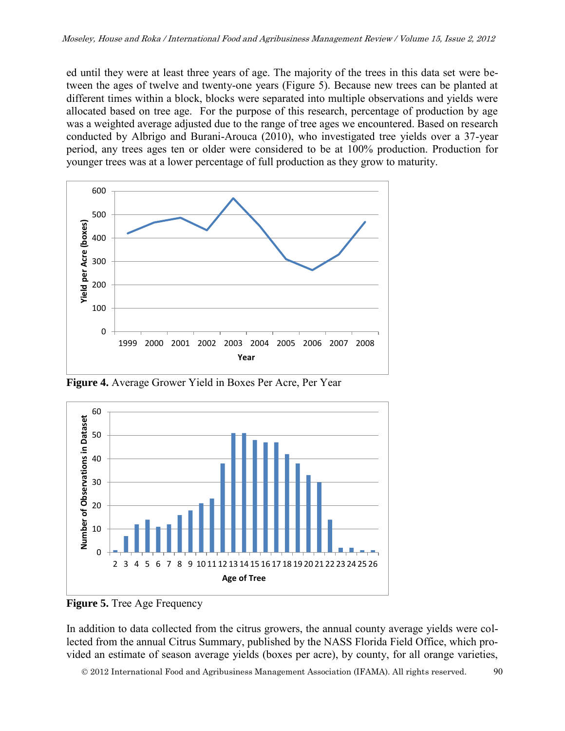ed until they were at least three years of age. The majority of the trees in this data set were between the ages of twelve and twenty-one years (Figure 5). Because new trees can be planted at different times within a block, blocks were separated into multiple observations and yields were allocated based on tree age. For the purpose of this research, percentage of production by age was a weighted average adjusted due to the range of tree ages we encountered. Based on research conducted by Albrigo and Burani-Arouca (2010), who investigated tree yields over a 37-year period, any trees ages ten or older were considered to be at 100% production. Production for younger trees was at a lower percentage of full production as they grow to maturity.



**Figure 4.** Average Grower Yield in Boxes Per Acre, Per Year



**Figure 5.** Tree Age Frequency

In addition to data collected from the citrus growers, the annual county average yields were collected from the annual Citrus Summary, published by the NASS Florida Field Office, which provided an estimate of season average yields (boxes per acre), by county, for all orange varieties,

2012 International Food and Agribusiness Management Association (IFAMA). All rights reserved. 90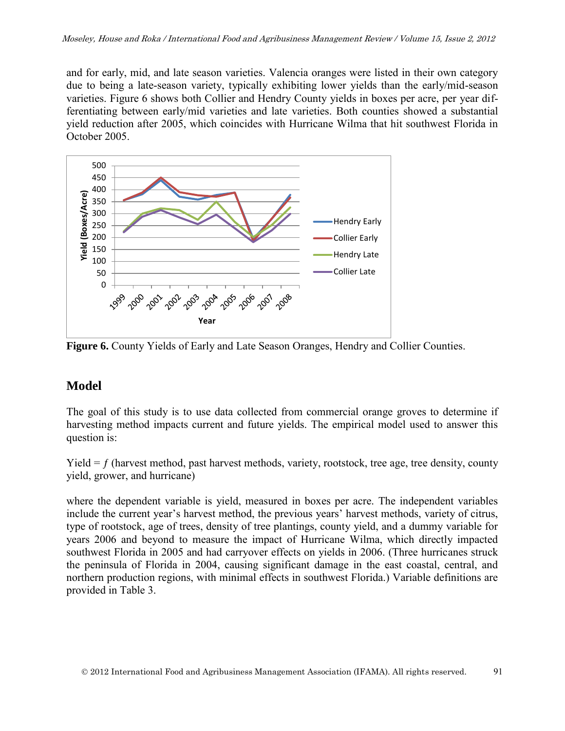and for early, mid, and late season varieties. Valencia oranges were listed in their own category due to being a late-season variety, typically exhibiting lower yields than the early/mid-season varieties. Figure 6 shows both Collier and Hendry County yields in boxes per acre, per year differentiating between early/mid varieties and late varieties. Both counties showed a substantial yield reduction after 2005, which coincides with Hurricane Wilma that hit southwest Florida in October 2005.



**Figure 6.** County Yields of Early and Late Season Oranges, Hendry and Collier Counties.

# **Model**

The goal of this study is to use data collected from commercial orange groves to determine if harvesting method impacts current and future yields. The empirical model used to answer this question is:

Yield  $= f$  (harvest method, past harvest methods, variety, rootstock, tree age, tree density, county yield, grower, and hurricane)

where the dependent variable is yield, measured in boxes per acre. The independent variables include the current year's harvest method, the previous years' harvest methods, variety of citrus, type of rootstock, age of trees, density of tree plantings, county yield, and a dummy variable for years 2006 and beyond to measure the impact of Hurricane Wilma, which directly impacted southwest Florida in 2005 and had carryover effects on yields in 2006. (Three hurricanes struck the peninsula of Florida in 2004, causing significant damage in the east coastal, central, and northern production regions, with minimal effects in southwest Florida.) Variable definitions are provided in Table 3.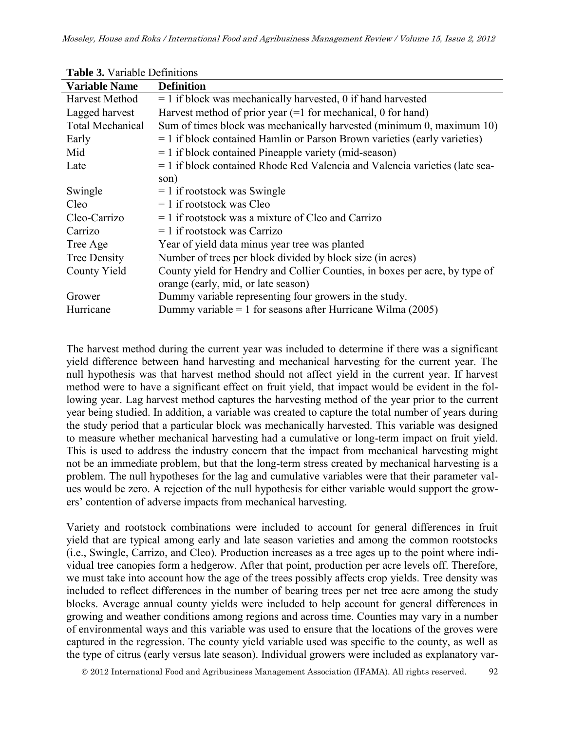| <b>Table 5.</b> Valiable Definitions |                                                                             |  |  |  |
|--------------------------------------|-----------------------------------------------------------------------------|--|--|--|
| <b>Variable Name</b>                 | <b>Definition</b>                                                           |  |  |  |
| Harvest Method                       | $= 1$ if block was mechanically harvested, 0 if hand harvested              |  |  |  |
| Lagged harvest                       | Harvest method of prior year $(=1$ for mechanical, 0 for hand)              |  |  |  |
| <b>Total Mechanical</b>              | Sum of times block was mechanically harvested (minimum 0, maximum 10)       |  |  |  |
| Early                                | $= 1$ if block contained Hamlin or Parson Brown varieties (early varieties) |  |  |  |
| Mid                                  | $= 1$ if block contained Pineapple variety (mid-season)                     |  |  |  |
| Late                                 | = 1 if block contained Rhode Red Valencia and Valencia varieties (late sea- |  |  |  |
|                                      | son)                                                                        |  |  |  |
| Swingle                              | $= 1$ if rootstock was Swingle                                              |  |  |  |
| Cleo                                 | $= 1$ if rootstock was Cleo                                                 |  |  |  |
| Cleo-Carrizo                         | $= 1$ if rootstock was a mixture of Cleo and Carrizo                        |  |  |  |
| Carrizo                              | $= 1$ if rootstock was Carrizo                                              |  |  |  |
| Tree Age                             | Year of yield data minus year tree was planted                              |  |  |  |
| <b>Tree Density</b>                  | Number of trees per block divided by block size (in acres)                  |  |  |  |
| County Yield                         | County yield for Hendry and Collier Counties, in boxes per acre, by type of |  |  |  |
|                                      | orange (early, mid, or late season)                                         |  |  |  |
| Grower                               | Dummy variable representing four growers in the study.                      |  |  |  |
| Hurricane                            | Dummy variable = 1 for seasons after Hurricane Wilma $(2005)$               |  |  |  |

**Table 3.** Variable Definitions

The harvest method during the current year was included to determine if there was a significant yield difference between hand harvesting and mechanical harvesting for the current year. The null hypothesis was that harvest method should not affect yield in the current year. If harvest method were to have a significant effect on fruit yield, that impact would be evident in the following year. Lag harvest method captures the harvesting method of the year prior to the current year being studied. In addition, a variable was created to capture the total number of years during the study period that a particular block was mechanically harvested. This variable was designed to measure whether mechanical harvesting had a cumulative or long-term impact on fruit yield. This is used to address the industry concern that the impact from mechanical harvesting might not be an immediate problem, but that the long-term stress created by mechanical harvesting is a problem. The null hypotheses for the lag and cumulative variables were that their parameter values would be zero. A rejection of the null hypothesis for either variable would support the growers' contention of adverse impacts from mechanical harvesting.

Variety and rootstock combinations were included to account for general differences in fruit yield that are typical among early and late season varieties and among the common rootstocks (i.e., Swingle, Carrizo, and Cleo). Production increases as a tree ages up to the point where individual tree canopies form a hedgerow. After that point, production per acre levels off. Therefore, we must take into account how the age of the trees possibly affects crop yields. Tree density was included to reflect differences in the number of bearing trees per net tree acre among the study blocks. Average annual county yields were included to help account for general differences in growing and weather conditions among regions and across time. Counties may vary in a number of environmental ways and this variable was used to ensure that the locations of the groves were captured in the regression. The county yield variable used was specific to the county, as well as the type of citrus (early versus late season). Individual growers were included as explanatory var-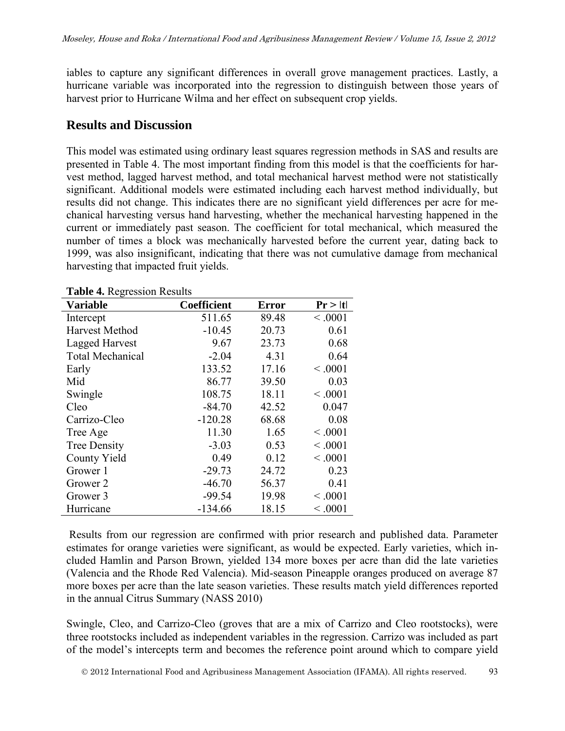iables to capture any significant differences in overall grove management practices. Lastly, a hurricane variable was incorporated into the regression to distinguish between those years of harvest prior to Hurricane Wilma and her effect on subsequent crop yields.

#### **Results and Discussion**

This model was estimated using ordinary least squares regression methods in SAS and results are presented in Table 4. The most important finding from this model is that the coefficients for harvest method, lagged harvest method, and total mechanical harvest method were not statistically significant. Additional models were estimated including each harvest method individually, but results did not change. This indicates there are no significant yield differences per acre for mechanical harvesting versus hand harvesting, whether the mechanical harvesting happened in the current or immediately past season. The coefficient for total mechanical, which measured the number of times a block was mechanically harvested before the current year, dating back to 1999, was also insignificant, indicating that there was not cumulative damage from mechanical harvesting that impacted fruit yields.

| <b>Variable</b>         | <b>Coefficient</b> | <b>Error</b> | Pr >  t |
|-------------------------|--------------------|--------------|---------|
| Intercept               | 511.65             | 89.48        | < 0.001 |
| <b>Harvest Method</b>   | $-10.45$           | 20.73        | 0.61    |
| Lagged Harvest          | 9.67               | 23.73        | 0.68    |
| <b>Total Mechanical</b> | $-2.04$            | 4.31         | 0.64    |
| Early                   | 133.52             | 17.16        | < 0.001 |
| Mid                     | 86.77              | 39.50        | 0.03    |
| Swingle                 | 108.75             | 18.11        | < 0.001 |
| Cleo                    | $-84.70$           | 42.52        | 0.047   |
| Carrizo-Cleo            | $-120.28$          | 68.68        | 0.08    |
| Tree Age                | 11.30              | 1.65         | < 0.001 |
| <b>Tree Density</b>     | $-3.03$            | 0.53         | < 0.001 |
| <b>County Yield</b>     | 0.49               | 0.12         | < 0.001 |
| Grower 1                | $-29.73$           | 24.72        | 0.23    |
| Grower 2                | $-46.70$           | 56.37        | 0.41    |
| Grower 3                | $-99.54$           | 19.98        | < 0.001 |
| Hurricane               | $-134.66$          | 18.15        | < 0.001 |

**Table 4.** Regression Results

Results from our regression are confirmed with prior research and published data. Parameter estimates for orange varieties were significant, as would be expected. Early varieties, which included Hamlin and Parson Brown, yielded 134 more boxes per acre than did the late varieties (Valencia and the Rhode Red Valencia). Mid-season Pineapple oranges produced on average 87 more boxes per acre than the late season varieties. These results match yield differences reported in the annual Citrus Summary (NASS 2010)

Swingle, Cleo, and Carrizo-Cleo (groves that are a mix of Carrizo and Cleo rootstocks), were three rootstocks included as independent variables in the regression. Carrizo was included as part of the model's intercepts term and becomes the reference point around which to compare yield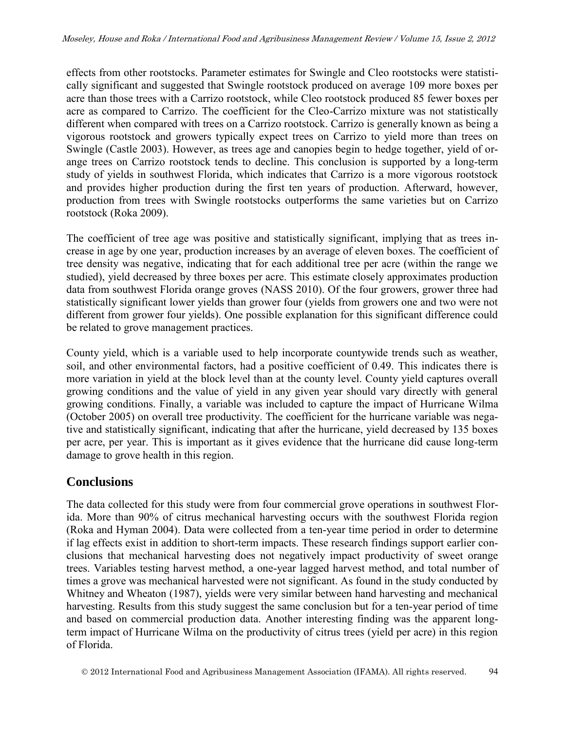effects from other rootstocks. Parameter estimates for Swingle and Cleo rootstocks were statistically significant and suggested that Swingle rootstock produced on average 109 more boxes per acre than those trees with a Carrizo rootstock, while Cleo rootstock produced 85 fewer boxes per acre as compared to Carrizo. The coefficient for the Cleo-Carrizo mixture was not statistically different when compared with trees on a Carrizo rootstock. Carrizo is generally known as being a vigorous rootstock and growers typically expect trees on Carrizo to yield more than trees on Swingle (Castle 2003). However, as trees age and canopies begin to hedge together, yield of orange trees on Carrizo rootstock tends to decline. This conclusion is supported by a long-term study of yields in southwest Florida, which indicates that Carrizo is a more vigorous rootstock and provides higher production during the first ten years of production. Afterward, however, production from trees with Swingle rootstocks outperforms the same varieties but on Carrizo rootstock (Roka 2009).

The coefficient of tree age was positive and statistically significant, implying that as trees increase in age by one year, production increases by an average of eleven boxes. The coefficient of tree density was negative, indicating that for each additional tree per acre (within the range we studied), yield decreased by three boxes per acre. This estimate closely approximates production data from southwest Florida orange groves (NASS 2010). Of the four growers, grower three had statistically significant lower yields than grower four (yields from growers one and two were not different from grower four yields). One possible explanation for this significant difference could be related to grove management practices.

County yield, which is a variable used to help incorporate countywide trends such as weather, soil, and other environmental factors, had a positive coefficient of 0.49. This indicates there is more variation in yield at the block level than at the county level. County yield captures overall growing conditions and the value of yield in any given year should vary directly with general growing conditions. Finally, a variable was included to capture the impact of Hurricane Wilma (October 2005) on overall tree productivity. The coefficient for the hurricane variable was negative and statistically significant, indicating that after the hurricane, yield decreased by 135 boxes per acre, per year. This is important as it gives evidence that the hurricane did cause long-term damage to grove health in this region.

# **Conclusions**

The data collected for this study were from four commercial grove operations in southwest Florida. More than 90% of citrus mechanical harvesting occurs with the southwest Florida region (Roka and Hyman 2004). Data were collected from a ten-year time period in order to determine if lag effects exist in addition to short-term impacts. These research findings support earlier conclusions that mechanical harvesting does not negatively impact productivity of sweet orange trees. Variables testing harvest method, a one-year lagged harvest method, and total number of times a grove was mechanical harvested were not significant. As found in the study conducted by Whitney and Wheaton (1987), yields were very similar between hand harvesting and mechanical harvesting. Results from this study suggest the same conclusion but for a ten-year period of time and based on commercial production data. Another interesting finding was the apparent longterm impact of Hurricane Wilma on the productivity of citrus trees (yield per acre) in this region of Florida.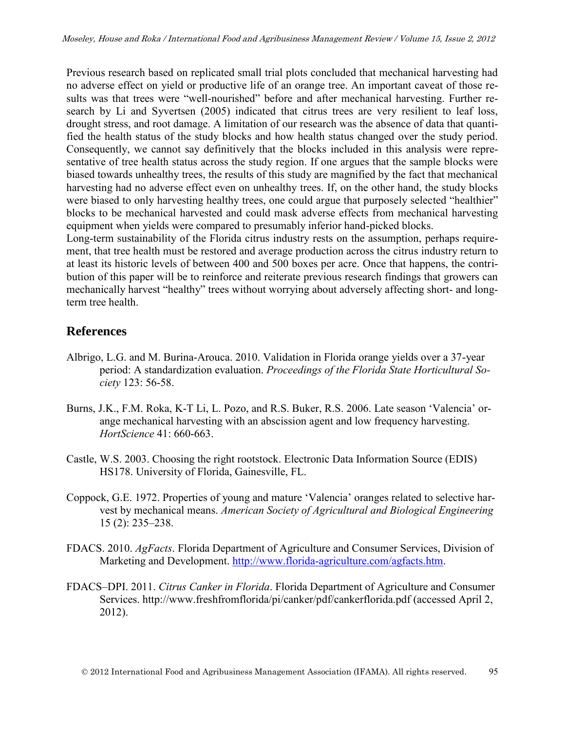Previous research based on replicated small trial plots concluded that mechanical harvesting had no adverse effect on yield or productive life of an orange tree. An important caveat of those results was that trees were "well-nourished" before and after mechanical harvesting. Further research by Li and Syvertsen (2005) indicated that citrus trees are very resilient to leaf loss, drought stress, and root damage. A limitation of our research was the absence of data that quantified the health status of the study blocks and how health status changed over the study period. Consequently, we cannot say definitively that the blocks included in this analysis were representative of tree health status across the study region. If one argues that the sample blocks were biased towards unhealthy trees, the results of this study are magnified by the fact that mechanical harvesting had no adverse effect even on unhealthy trees. If, on the other hand, the study blocks were biased to only harvesting healthy trees, one could argue that purposely selected "healthier" blocks to be mechanical harvested and could mask adverse effects from mechanical harvesting equipment when yields were compared to presumably inferior hand-picked blocks.

Long-term sustainability of the Florida citrus industry rests on the assumption, perhaps requirement, that tree health must be restored and average production across the citrus industry return to at least its historic levels of between 400 and 500 boxes per acre. Once that happens, the contribution of this paper will be to reinforce and reiterate previous research findings that growers can mechanically harvest "healthy" trees without worrying about adversely affecting short- and longterm tree health.

# **References**

- Albrigo, L.G. and M. Burina-Arouca. 2010. Validation in Florida orange yields over a 37-year period: A standardization evaluation. *Proceedings of the Florida State Horticultural Society* 123: 56-58.
- Burns, J.K., F.M. Roka, K-T Li, L. Pozo, and R.S. Buker, R.S. 2006. Late season 'Valencia' orange mechanical harvesting with an abscission agent and low frequency harvesting. *HortScience* 41: 660-663.
- Castle, W.S. 2003. Choosing the right rootstock. Electronic Data Information Source (EDIS) HS178. University of Florida, Gainesville, FL.
- Coppock, G.E. 1972. Properties of young and mature 'Valencia' oranges related to selective harvest by mechanical means. *American Society of Agricultural and Biological Engineering* 15 (2): 235–238.
- FDACS. 2010. *AgFacts*. Florida Department of Agriculture and Consumer Services, Division of Marketing and Development. [http://www.florida-agriculture.com/agfacts.htm.](http://www.florida-agriculture.com/agfacts.htm)
- FDACS–DPI. 2011. *Citrus Canker in Florida*. Florida Department of Agriculture and Consumer Services. http://www.freshfromflorida/pi/canker/pdf/cankerflorida.pdf (accessed April 2, 2012).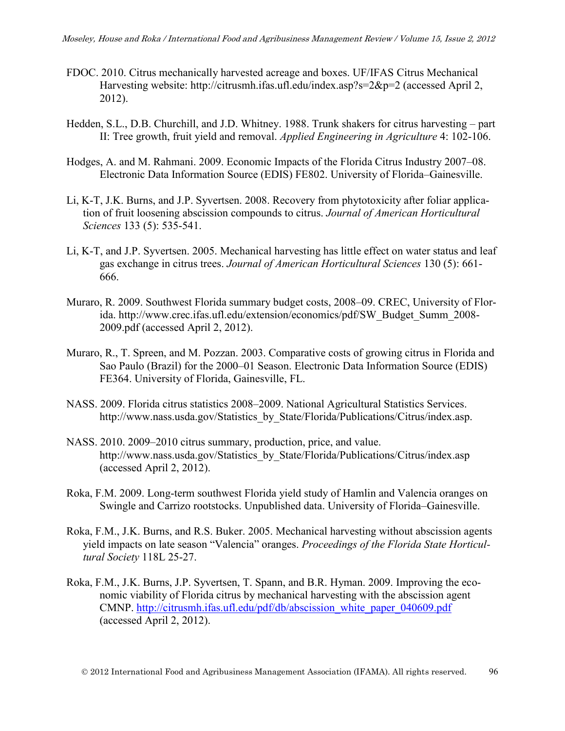- FDOC. 2010. Citrus mechanically harvested acreage and boxes. UF/IFAS Citrus Mechanical Harvesting website: http://citrusmh.ifas.ufl.edu/index.asp?s=2&p=2 (accessed April 2, 2012).
- Hedden, S.L., D.B. Churchill, and J.D. Whitney. 1988. Trunk shakers for citrus harvesting part II: Tree growth, fruit yield and removal. *Applied Engineering in Agriculture* 4: 102-106.
- Hodges, A. and M. Rahmani. 2009. Economic Impacts of the Florida Citrus Industry 2007–08. Electronic Data Information Source (EDIS) FE802. University of Florida–Gainesville.
- Li, K-T, J.K. Burns, and J.P. Syvertsen. 2008. Recovery from phytotoxicity after foliar application of fruit loosening abscission compounds to citrus. *Journal of American Horticultural Sciences* 133 (5): 535-541.
- Li, K-T, and J.P. Syvertsen. 2005. Mechanical harvesting has little effect on water status and leaf gas exchange in citrus trees. *Journal of American Horticultural Sciences* 130 (5): 661- 666.
- Muraro, R. 2009. Southwest Florida summary budget costs, 2008–09. CREC, University of Florida. http://www.crec.ifas.ufl.edu/extension/economics/pdf/SW\_Budget\_Summ\_2008- 2009.pdf (accessed April 2, 2012).
- Muraro, R., T. Spreen, and M. Pozzan. 2003. Comparative costs of growing citrus in Florida and Sao Paulo (Brazil) for the 2000–01 Season. Electronic Data Information Source (EDIS) FE364. University of Florida, Gainesville, FL.
- NASS. 2009. Florida citrus statistics 2008–2009. National Agricultural Statistics Services. http://www.nass.usda.gov/Statistics\_by\_State/Florida/Publications/Citrus/index.asp.
- NASS. 2010. 2009–2010 citrus summary, production, price, and value. http://www.nass.usda.gov/Statistics\_by\_State/Florida/Publications/Citrus/index.asp (accessed April 2, 2012).
- Roka, F.M. 2009. Long-term southwest Florida yield study of Hamlin and Valencia oranges on Swingle and Carrizo rootstocks. Unpublished data. University of Florida–Gainesville.
- Roka, F.M., J.K. Burns, and R.S. Buker. 2005. Mechanical harvesting without abscission agents yield impacts on late season "Valencia" oranges. *Proceedings of the Florida State Horticultural Society* 118L 25-27.
- Roka, F.M., J.K. Burns, J.P. Syvertsen, T. Spann, and B.R. Hyman. 2009. Improving the economic viability of Florida citrus by mechanical harvesting with the abscission agent CMNP. [http://citrusmh.ifas.ufl.edu/pdf/db/abscission\\_white\\_paper\\_040609.pdf](http://citrusmh.ifas.ufl.edu/pdf/db/abscission_white_paper_040609.pdf) (accessed April 2, 2012).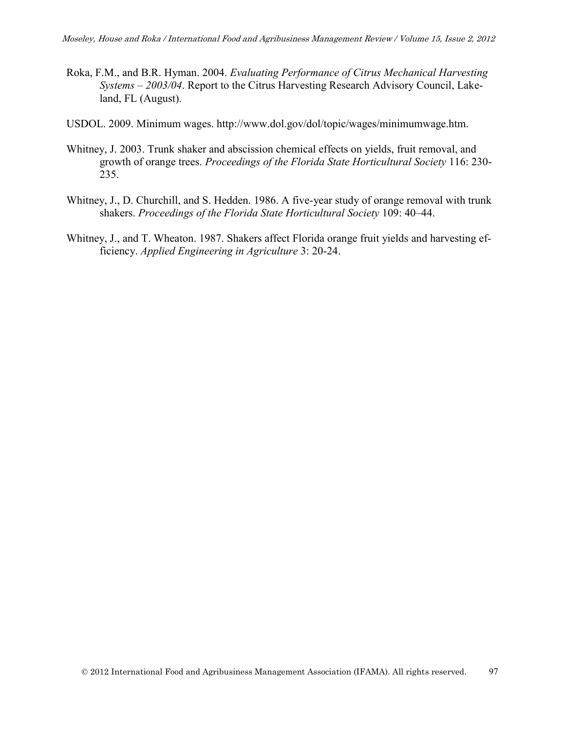- Roka, F.M., and B.R. Hyman. 2004. *Evaluating Performance of Citrus Mechanical Harvesting Systems – 2003/04*. Report to the Citrus Harvesting Research Advisory Council, Lakeland, FL (August).
- USDOL. 2009. Minimum wages. http://www.dol.gov/dol/topic/wages/minimumwage.htm.
- Whitney, J. 2003. Trunk shaker and abscission chemical effects on yields, fruit removal, and growth of orange trees. *Proceedings of the Florida State Horticultural Society* 116: 230- 235.
- Whitney, J., D. Churchill, and S. Hedden. 1986. A five-year study of orange removal with trunk shakers. *Proceedings of the Florida State Horticultural Society* 109: 40–44.
- Whitney, J., and T. Wheaton. 1987. Shakers affect Florida orange fruit yields and harvesting efficiency. *Applied Engineering in Agriculture* 3: 20-24.